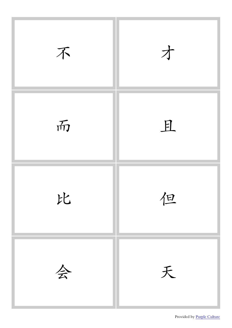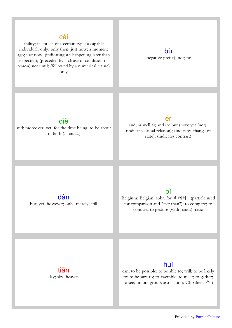### [cái](http://www.purpleculture.net/mp3/cai2.mp3)

ability; talent; sb of a certain type; a capable individual; only; only then; just now; a moment ago; just now; (indicating sth happening later than expected); (preceded by a clause of condition or reason) not until; (followed by a numerical clause) only

[bù](http://www.purpleculture.net/mp3/bu4.mp3) (negative prefix); not; no

### [qiě](http://www.purpleculture.net/mp3/qie3.mp3)

and; moreover; yet; for the time being; to be about to; both (... and...)

### [ér](http://www.purpleculture.net/mp3/er2.mp3)

and; as well as; and so; but (not); yet (not); (indicates causal relation); (indicates change of state); (indicates contrast)

[dàn](http://www.purpleculture.net/mp3/dan4.mp3) but; yet; however; only; merely; still

# [bǐ](http://www.purpleculture.net/mp3/bi3.mp3)

Belgium; Belgian; abbr. for 比利时 ; (particle used for comparison and "-er than"); to compare; to contrast; to gesture (with hands); ratio

[tiān](http://www.purpleculture.net/mp3/tian1.mp3) day; sky; heaven

# [huì](http://www.purpleculture.net/mp3/hui4.mp3)

can; to be possible; to be able to; will; to be likely to; to be sure to; to assemble; to meet; to gather; to see; union; group; association; Classifiers: 个 )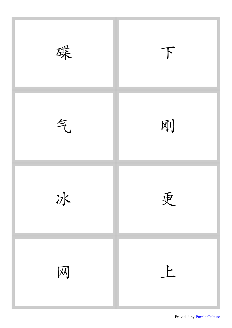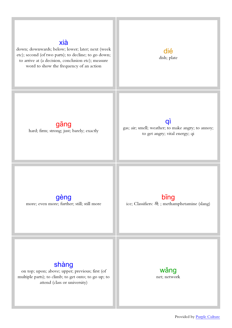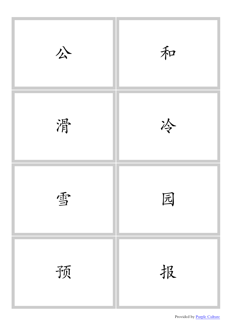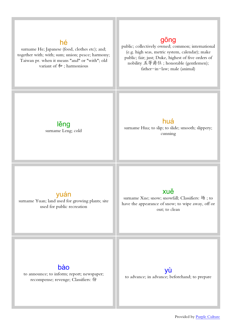### [hé](http://www.purpleculture.net/mp3/he2.mp3)

surname He; Japanese (food, clothes etc); and; together with; with; sum; union; peace; harmony; Taiwan pr. when it means "and" or "with"; old variant of  $\hat{\mathcal{F}}$  ; harmonious

# [gōng](http://www.purpleculture.net/mp3/gong1.mp3)

public; collectively owned; common; international (e.g. high seas, metric system, calendar); make public; fair; just; Duke, highest of five orders of nobility 五等爵位 ; honorable (gentlemen); father-in-law; male (animal)

[lěng](http://www.purpleculture.net/mp3/leng3.mp3) surname Leng; cold

### [huá](http://www.purpleculture.net/mp3/hua2.mp3)

surname Hua; to slip; to slide; smooth; slippery; cunning

### [yuán](http://www.purpleculture.net/mp3/yuan2.mp3)

surname Yuan; land used for growing plants; site used for public recreation

# [xuě](http://www.purpleculture.net/mp3/xue3.mp3)

surname Xue; snow; snowfall; Classifiers: 场 ; to have the appearance of snow; to wipe away, off or out; to clean

# [bào](http://www.purpleculture.net/mp3/bao4.mp3)

to announce; to inform; report; newspaper; recompense; revenge; Classifiers: 份



to advance; in advance; beforehand; to prepare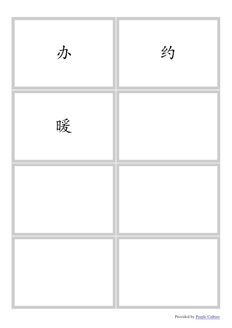